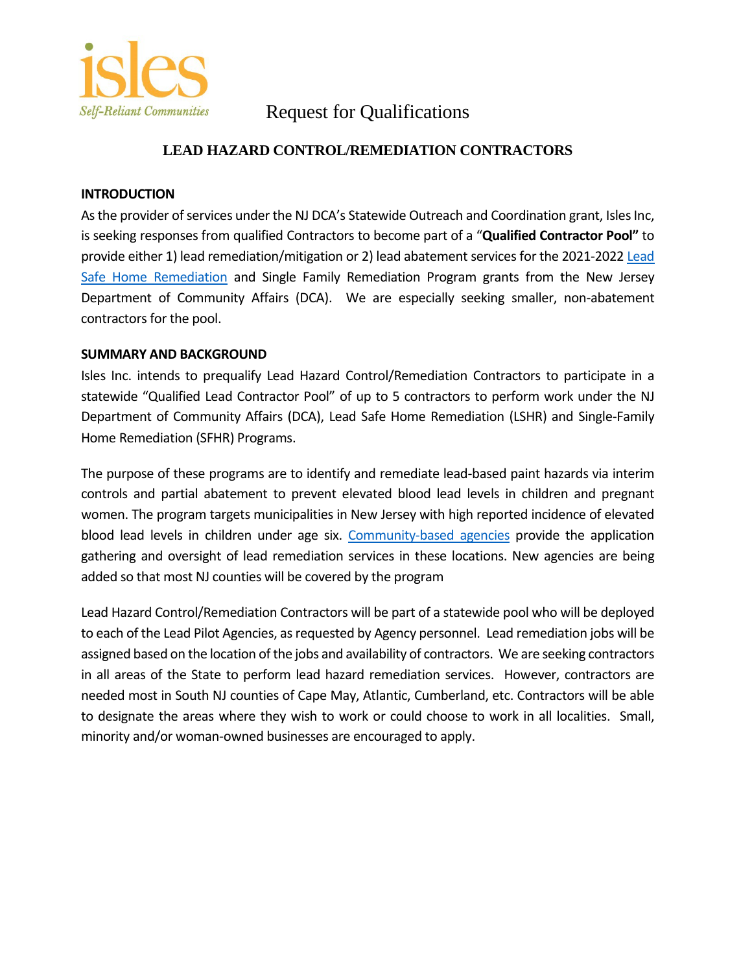

## Request for Qualifications

## **LEAD HAZARD CONTROL/REMEDIATION CONTRACTORS**

#### **INTRODUCTION**

As the provider of services under the NJ DCA's Statewide Outreach and Coordination grant, Isles Inc, is seeking responses from qualified Contractors to become part of a "**Qualified Contractor Pool"** to provide either 1) lead remediation/mitigation or 2) lead abatement services for the 2021-2022 Lead [Safe Home Remediation](https://www.nj.gov/dca/divisions/dhcr/offices/leadsafe.html) and Single Family Remediation Program grants from the New Jersey Department of Community Affairs (DCA). We are especially seeking smaller, non-abatement contractors for the pool.

#### **SUMMARY AND BACKGROUND**

Isles Inc. intends to prequalify Lead Hazard Control/Remediation Contractors to participate in a statewide "Qualified Lead Contractor Pool" of up to 5 contractors to perform work under the NJ Department of Community Affairs (DCA), Lead Safe Home Remediation (LSHR) and Single-Family Home Remediation (SFHR) Programs.

The purpose of these programs are to identify and remediate lead-based paint hazards via interim controls and partial abatement to prevent elevated blood lead levels in children and pregnant women. The program targets municipalities in New Jersey with high reported incidence of elevated blood lead levels in children under age six. [Community-based agencies](https://www.nj.gov/dca/divisions/dhcr/offices/docs/wap/LEAD/Agency_Contact_List_Fy21LS.pdf) provide the application gathering and oversight of lead remediation services in these locations. New agencies are being added so that most NJ counties will be covered by the program

Lead Hazard Control/Remediation Contractors will be part of a statewide pool who will be deployed to each of the Lead Pilot Agencies, as requested by Agency personnel. Lead remediation jobs will be assigned based on the location of the jobs and availability of contractors. We are seeking contractors in all areas of the State to perform lead hazard remediation services. However, contractors are needed most in South NJ counties of Cape May, Atlantic, Cumberland, etc. Contractors will be able to designate the areas where they wish to work or could choose to work in all localities. Small, minority and/or woman-owned businesses are encouraged to apply.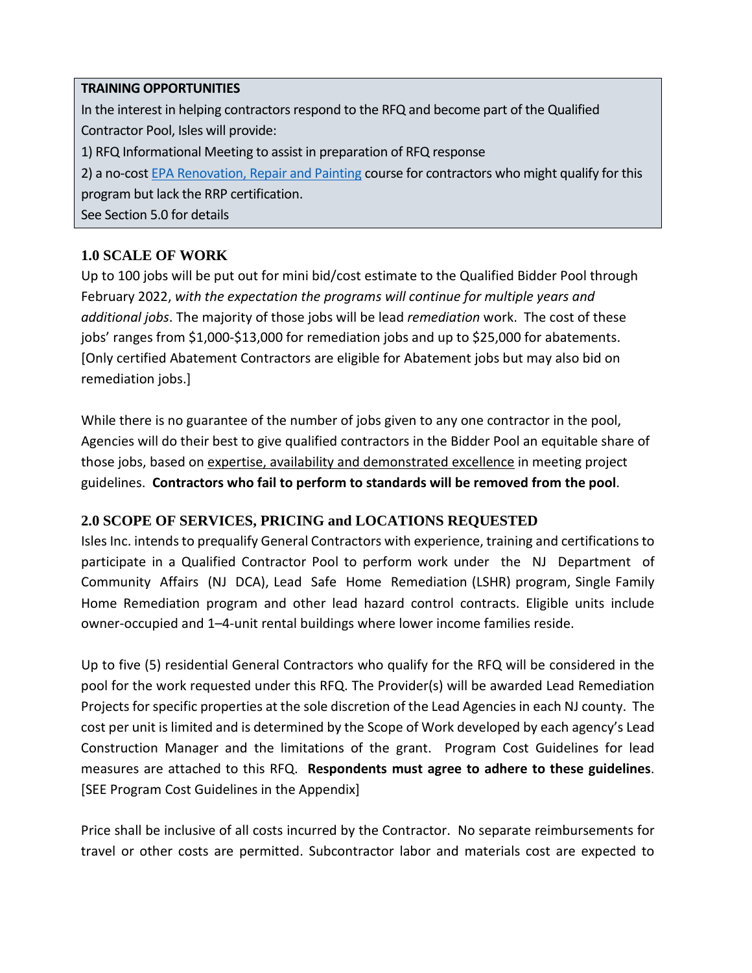#### **TRAINING OPPORTUNITIES**

In the interest in helping contractors respond to the RFQ and become part of the Qualified Contractor Pool, Isles will provide:

1) RFQ Informational Meeting to assist in preparation of RFQ response

2) a no-cos[t EPA Renovation, Repair and Painting](https://www.epa.gov/lead/lead-renovation-repair-and-painting-program) course for contractors who might qualify for this program but lack the RRP certification.

See Section 5.0 for details

## **1.0 SCALE OF WORK**

Up to 100 jobs will be put out for mini bid/cost estimate to the Qualified Bidder Pool through February 2022, *with the expectation the programs will continue for multiple years and additional jobs*. The majority of those jobs will be lead *remediation* work. The cost of these jobs' ranges from \$1,000-\$13,000 for remediation jobs and up to \$25,000 for abatements. [Only certified Abatement Contractors are eligible for Abatement jobs but may also bid on remediation jobs.]

While there is no guarantee of the number of jobs given to any one contractor in the pool, Agencies will do their best to give qualified contractors in the Bidder Pool an equitable share of those jobs, based on expertise, availability and demonstrated excellence in meeting project guidelines. **Contractors who fail to perform to standards will be removed from the pool**.

## **2.0 SCOPE OF SERVICES, PRICING and LOCATIONS REQUESTED**

Isles Inc. intends to prequalify General Contractors with experience, training and certifications to participate in a Qualified Contractor Pool to perform work under the NJ Department of Community Affairs (NJ DCA), Lead Safe Home Remediation (LSHR) program, Single Family Home Remediation program and other lead hazard control contracts. Eligible units include owner-occupied and 1–4-unit rental buildings where lower income families reside.

Up to five (5) residential General Contractors who qualify for the RFQ will be considered in the pool for the work requested under this RFQ. The Provider(s) will be awarded Lead Remediation Projects for specific properties at the sole discretion of the Lead Agencies in each NJ county. The cost per unit is limited and is determined by the Scope of Work developed by each agency's Lead Construction Manager and the limitations of the grant. Program Cost Guidelines for lead measures are attached to this RFQ. **Respondents must agree to adhere to these guidelines**. [SEE Program Cost Guidelines in the Appendix]

Price shall be inclusive of all costs incurred by the Contractor. No separate reimbursements for travel or other costs are permitted. Subcontractor labor and materials cost are expected to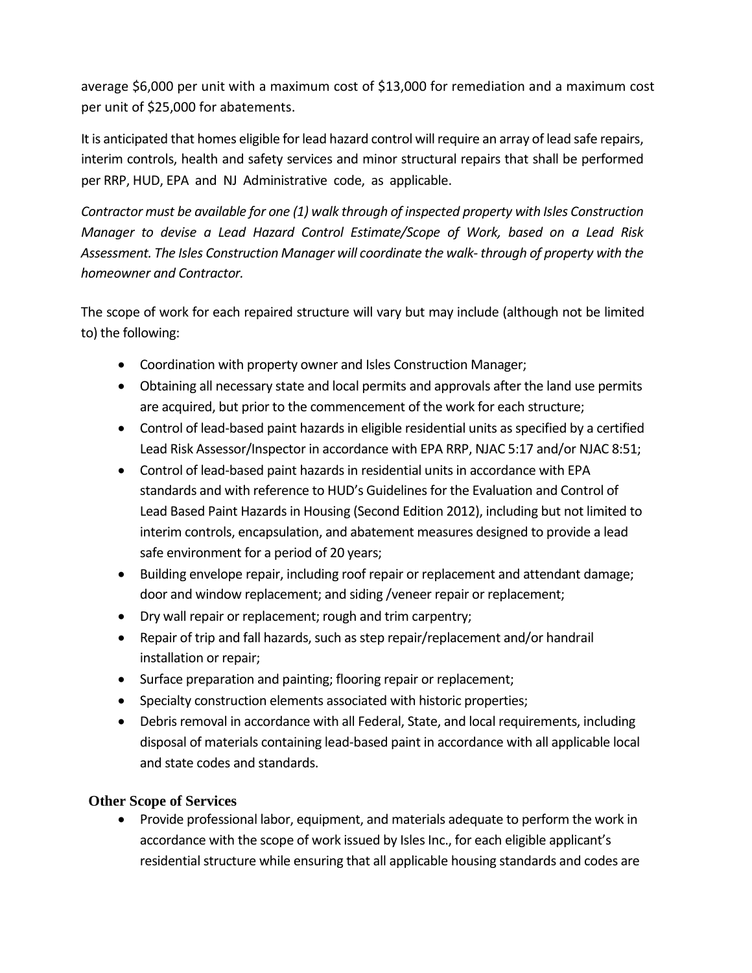average \$6,000 per unit with a maximum cost of \$13,000 for remediation and a maximum cost per unit of \$25,000 for abatements.

It is anticipated that homes eligible for lead hazard control will require an array of lead safe repairs, interim controls, health and safety services and minor structural repairs that shall be performed per RRP, HUD, EPA and NJ Administrative code, as applicable.

*Contractor must be available for one (1) walk through of inspected property with Isles Construction Manager to devise a Lead Hazard Control Estimate/Scope of Work, based on a Lead Risk Assessment. The Isles Construction Manager will coordinate the walk- through of property with the homeowner and Contractor.*

The scope of work for each repaired structure will vary but may include (although not be limited to) the following:

- Coordination with property owner and Isles Construction Manager;
- Obtaining all necessary state and local permits and approvals after the land use permits are acquired, but prior to the commencement of the work for each structure;
- Control of lead-based paint hazards in eligible residential units as specified by a certified Lead Risk Assessor/Inspector in accordance with EPA RRP, NJAC [5:17 an](http://www.state.nj.us/dca/divisions/codes/codreg/pdf_regs/njac_5_17.pdf)d/or NJAC 8:51;
- Control of lead-based paint hazards in residential units in accordance with EPA standards and with reference to HUD's Guidelines for the Evaluation and Control of Lead Based Paint Hazards in Housing (Second Edition 2012), including but not limited to interim controls, encapsulation, and abatement measures designed to provide a lead safe environment for a period of 20 years;
- Building envelope repair, including roof repair or replacement and attendant damage; door and window replacement; and siding /veneer repair or replacement;
- Dry wall repair or replacement; rough and trim carpentry;
- Repair of trip and fall hazards, such as step repair/replacement and/or handrail installation or repair;
- Surface preparation and painting; flooring repair or replacement;
- Specialty construction elements associated with historic properties;
- Debris removal in accordance with all Federal, State, and local requirements, including disposal of materials containing lead-based paint in accordance with all applicable local and state codes and standards.

## **Other Scope of Services**

• Provide professional labor, equipment, and materials adequate to perform the work in accordance with the scope of work issued by Isles Inc., for each eligible applicant's residential structure while ensuring that all applicable housing standards and codes are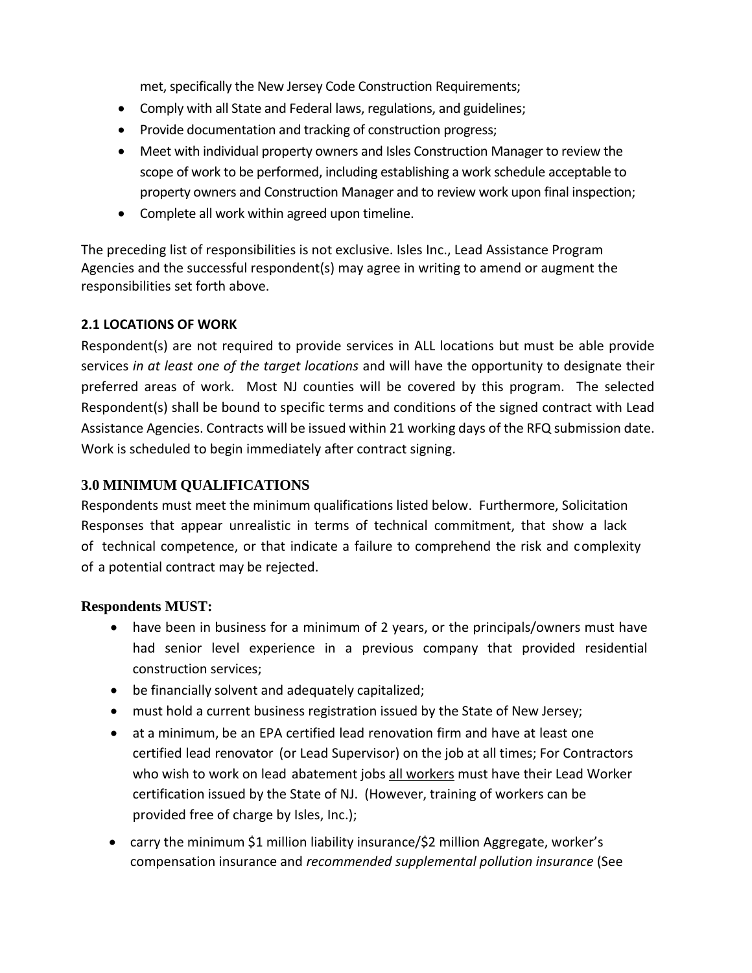met, specifically the New Jersey Code Construction Requirements;

- Comply with all State and Federal laws, regulations, and guidelines;
- Provide documentation and tracking of construction progress;
- Meet with individual property owners and Isles Construction Manager to review the scope of work to be performed, including establishing a work schedule acceptable to property owners and Construction Manager and to review work upon final inspection;
- Complete all work within agreed upon timeline.

The preceding list of responsibilities is not exclusive. Isles Inc., Lead Assistance Program Agencies and the successful respondent(s) may agree in writing to amend or augment the responsibilities set forth above.

## **2.1 LOCATIONS OF WORK**

Respondent(s) are not required to provide services in ALL locations but must be able provide services *in at least one of the target locations* and will have the opportunity to designate their preferred areas of work. Most NJ counties will be covered by this program. The selected Respondent(s) shall be bound to specific terms and conditions of the signed contract with Lead Assistance Agencies. Contracts will be issued within 21 working days of the RFQ submission date. Work is scheduled to begin immediately after contract signing.

## **3.0 MINIMUM QUALIFICATIONS**

Respondents must meet the minimum qualifications listed below. Furthermore, Solicitation Responses that appear unrealistic in terms of technical commitment, that show a lack of technical competence, or that indicate a failure to comprehend the risk and complexity of a potential contract may be rejected.

## **Respondents MUST:**

- have been in business for a minimum of 2 years, or the principals/owners must have had senior level experience in a previous company that provided residential construction services;
- be financially solvent and adequately capitalized;
- must hold a current business registration issued by the State of New Jersey;
- at a minimum, be an EPA certified lead renovation firm and have at least one certified lead renovator (or Lead Supervisor) on the job at all times; For Contractors who wish to work on lead abatement jobs all workers must have their Lead Worker certification issued by the State of NJ. (However, training of workers can be provided free of charge by Isles, Inc.);
- carry the minimum \$1 million liability insurance/\$2 million Aggregate, worker's compensation insurance and *recommended supplemental pollution insurance* (See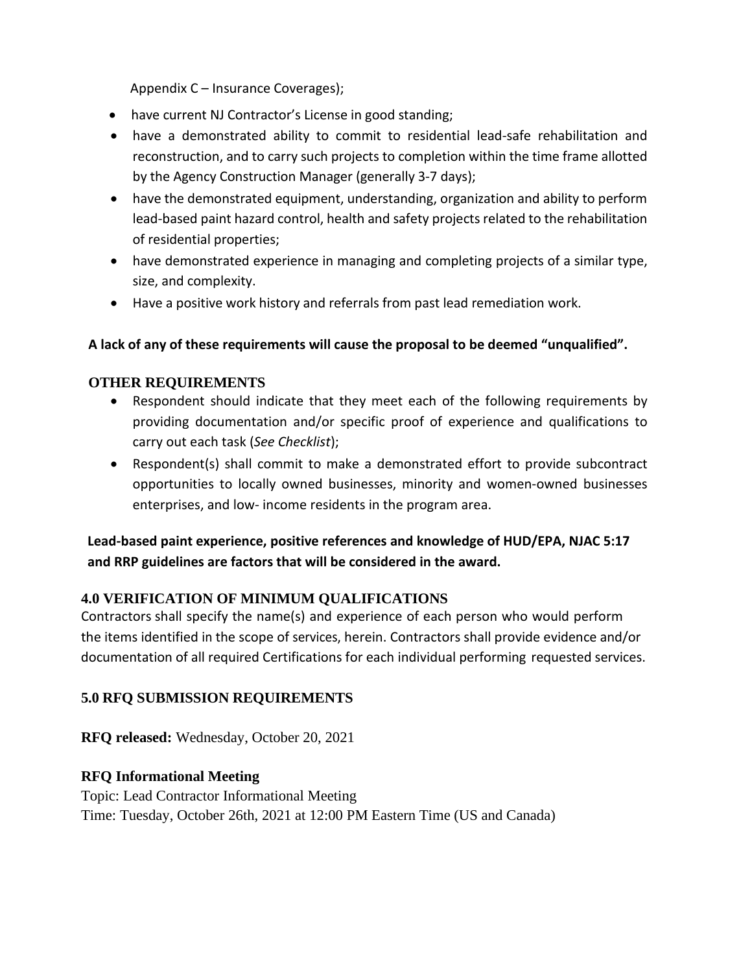Appendix C – Insurance Coverages);

- have current NJ Contractor's License in good standing;
- have a demonstrated ability to commit to residential lead-safe rehabilitation and reconstruction, and to carry such projects to completion within the time frame allotted by the Agency Construction Manager (generally 3-7 days);
- have the demonstrated equipment, understanding, organization and ability to perform lead-based paint hazard control, health and safety projects related to the rehabilitation of residential properties;
- have demonstrated experience in managing and completing projects of a similar type, size, and complexity.
- Have a positive work history and referrals from past lead remediation work.

## **A lack of any of these requirements will cause the proposal to be deemed "unqualified".**

## **OTHER REQUIREMENTS**

- Respondent should indicate that they meet each of the following requirements by providing documentation and/or specific proof of experience and qualifications to carry out each task (*See Checklist*);
- Respondent(s) shall commit to make a demonstrated effort to provide subcontract opportunities to locally owned businesses, minority and women-owned businesses enterprises, and low- income residents in the program area.

## **Lead-based paint experience, positive references and knowledge of HUD/EPA, NJAC 5:17 and RRP guidelines are factors that will be considered in the award.**

## **4.0 VERIFICATION OF MINIMUM QUALIFICATIONS**

Contractors shall specify the name(s) and experience of each person who would perform the items identified in the scope of services, herein. Contractors shall provide evidence and/or documentation of all required Certifications for each individual performing requested services.

## **5.0 RFQ SUBMISSION REQUIREMENTS**

**RFQ released:** Wednesday, October 20, 2021

## **RFQ Informational Meeting**

Topic: Lead Contractor Informational Meeting Time: Tuesday, October 26th, 2021 at 12:00 PM Eastern Time (US and Canada)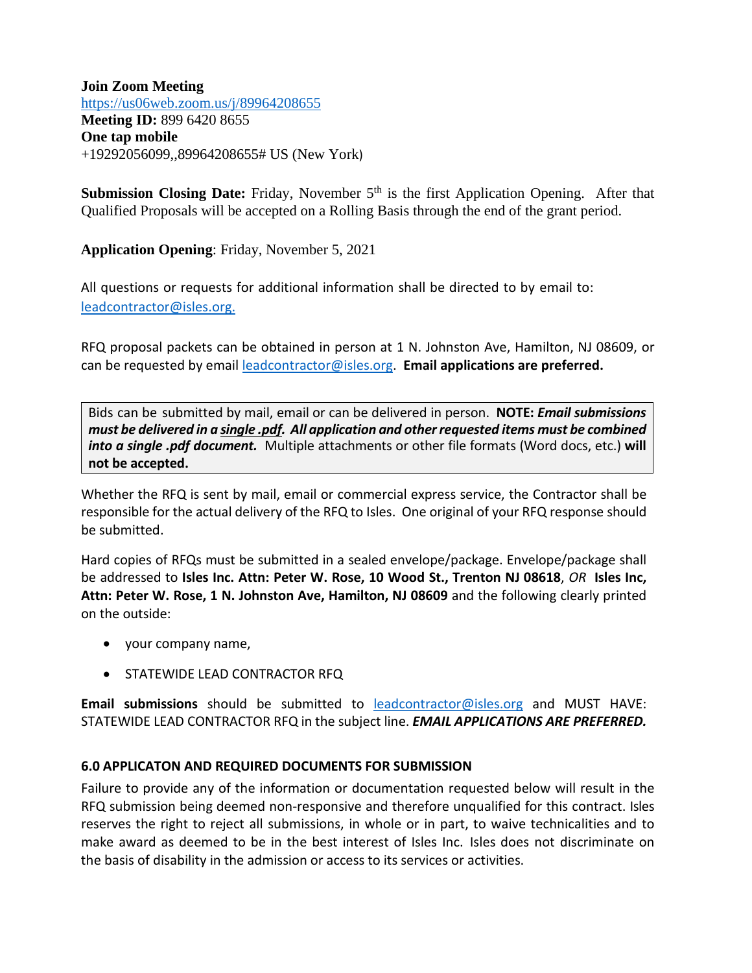**Join Zoom Meeting** <https://us06web.zoom.us/j/89964208655> **Meeting ID:** 899 6420 8655 **One tap mobile** +19292056099,,89964208655# US (New York)

**Submission Closing Date:** Friday, November 5<sup>th</sup> is the first Application Opening. After that Qualified Proposals will be accepted on a Rolling Basis through the end of the grant period.

**Application Opening**: Friday, November 5, 2021

All questions or requests for additional information shall be directed to by email to: [leadcontractor@isles.org.](mailto:leadcontractor@isles.org.) 

RFQ proposal packets can be obtained in person at 1 N. Johnston Ave, Hamilton, NJ 08609, or can be requested by email [leadcontractor@isles.org.](mailto:leadcontractor@isles.org) **Email applications are preferred.**

Bids can be submitted by mail, email or can be delivered in person. **NOTE:** *Email submissions must be delivered in a single .pdf. All application and other requested items must be combined into a single .pdf document.* Multiple attachments or other file formats (Word docs, etc.) **will not be accepted.**

Whether the RFQ is sent by mail, email or commercial express service, the Contractor shall be responsible for the actual delivery of the RFQ to Isles. One original of your RFQ response should be submitted.

Hard copies of RFQs must be submitted in a sealed envelope/package. Envelope/package shall be addressed to **Isles Inc. Attn: Peter W. Rose, 10 Wood St., Trenton NJ 08618**, *OR* **Isles Inc, Attn: Peter W. Rose, 1 N. Johnston Ave, Hamilton, NJ 08609** and the following clearly printed on the outside:

- your company name,
- STATEWIDE LEAD CONTRACTOR RFQ

**Email submissions** should be submitted to [leadcontractor@isles.org](mailto:leadcontractor@isles.org) and MUST HAVE: STATEWIDE LEAD CONTRACTOR RFQ in the subject line. *EMAIL APPLICATIONS ARE PREFERRED.*

## **6.0 APPLICATON AND REQUIRED DOCUMENTS FOR SUBMISSION**

Failure to provide any of the information or documentation requested below will result in the RFQ submission being deemed non-responsive and therefore unqualified for this contract. Isles reserves the right to reject all submissions, in whole or in part, to waive technicalities and to make award as deemed to be in the best interest of Isles Inc. Isles does not discriminate on the basis of disability in the admission or access to its services or activities.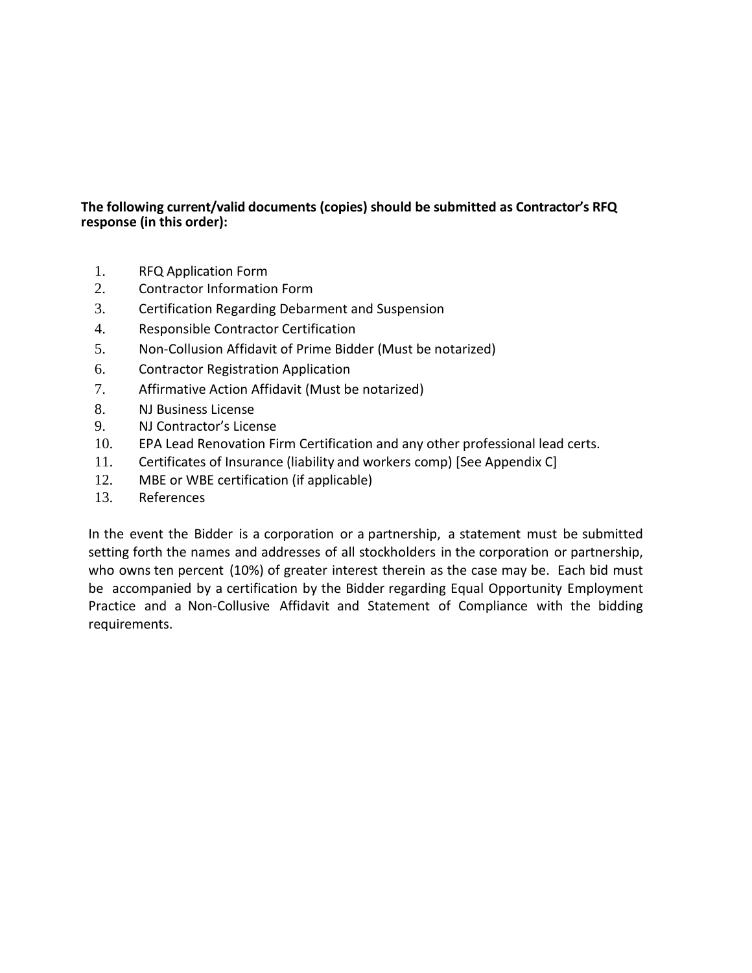#### **The following current/valid documents (copies) should be submitted as Contractor's RFQ response (in this order):**

- 1. RFQ Application Form
- 2. Contractor Information Form
- 3. Certification Regarding Debarment and Suspension
- 4. Responsible Contractor Certification
- 5. Non-Collusion Affidavit of Prime Bidder (Must be notarized)
- 6. Contractor Registration Application
- 7. Affirmative Action Affidavit (Must be notarized)
- 8. NJ Business License
- 9. NJ Contractor's License
- 10. EPA Lead Renovation Firm Certification and any other professional lead certs.
- 11. Certificates of Insurance (liability and workers comp) [See Appendix C]
- 12. MBE or WBE certification (if applicable)
- 13. References

In the event the Bidder is a corporation or a partnership, a statement must be submitted setting forth the names and addresses of all stockholders in the corporation or partnership, who owns ten percent (10%) of greater interest therein as the case may be. Each bid must be accompanied by a certification by the Bidder regarding Equal Opportunity Employment Practice and a Non-Collusive Affidavit and Statement of Compliance with the bidding requirements.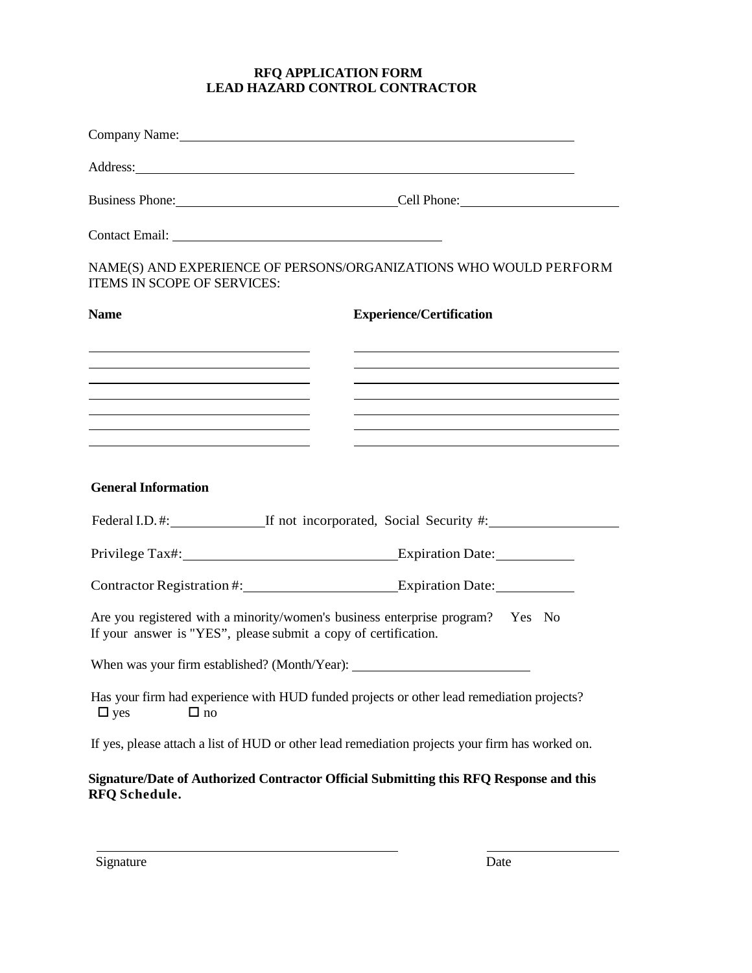#### **RFQ APPLICATION FORM LEAD HAZARD CONTROL CONTRACTOR**

|                                                                                                                                                                                                                                                                                                                                            | Company Name: Company Name:                                                                                                                                                                                                    |
|--------------------------------------------------------------------------------------------------------------------------------------------------------------------------------------------------------------------------------------------------------------------------------------------------------------------------------------------|--------------------------------------------------------------------------------------------------------------------------------------------------------------------------------------------------------------------------------|
|                                                                                                                                                                                                                                                                                                                                            | Address: Note that the contract of the contract of the contract of the contract of the contract of the contract of the contract of the contract of the contract of the contract of the contract of the contract of the contrac |
|                                                                                                                                                                                                                                                                                                                                            | Business Phone: Cell Phone:                                                                                                                                                                                                    |
|                                                                                                                                                                                                                                                                                                                                            |                                                                                                                                                                                                                                |
| <b>ITEMS IN SCOPE OF SERVICES:</b>                                                                                                                                                                                                                                                                                                         | NAME(S) AND EXPERIENCE OF PERSONS/ORGANIZATIONS WHO WOULD PERFORM                                                                                                                                                              |
| <b>Name</b>                                                                                                                                                                                                                                                                                                                                | <b>Experience/Certification</b>                                                                                                                                                                                                |
| <u> Alexandro de la contrada de la contrada de la contrada de la contrada de la contrada de la contrada de la co</u>                                                                                                                                                                                                                       | the control of the control of the control of the control of the control of the control of the control of the control of the control of the control of the control of the control of the control of the control of the control  |
| the control of the control of the control of the control of the control of the control of                                                                                                                                                                                                                                                  | the control of the control of the control of the control of the control of the control of the control of the control of the control of the control of the control of the control of the control of the control of the control  |
| <u> 1989 - Johann Barbara, martin amerikan basar dan basa dan basa dan basa dalam basa dalam basa dalam basa dala</u><br><u> 1989 - Johann John Stein, mars an deutscher Stein und der Stein und der Stein und der Stein und der Stein un</u><br>the control of the control of the control of the control of the control of the control of |                                                                                                                                                                                                                                |
| <b>General Information</b>                                                                                                                                                                                                                                                                                                                 | Federal I.D.#: If not incorporated, Social Security #:                                                                                                                                                                         |
|                                                                                                                                                                                                                                                                                                                                            |                                                                                                                                                                                                                                |
|                                                                                                                                                                                                                                                                                                                                            | Contractor Registration #: Expiration Date:                                                                                                                                                                                    |
| If your answer is "YES", please submit a copy of certification.                                                                                                                                                                                                                                                                            | Are you registered with a minority/women's business enterprise program? Yes No                                                                                                                                                 |
| When was your firm established? (Month/Year):                                                                                                                                                                                                                                                                                              |                                                                                                                                                                                                                                |
| $\Box$ no<br>$\Box$ yes                                                                                                                                                                                                                                                                                                                    | Has your firm had experience with HUD funded projects or other lead remediation projects?                                                                                                                                      |
|                                                                                                                                                                                                                                                                                                                                            | If yes, please attach a list of HUD or other lead remediation projects your firm has worked on.                                                                                                                                |
| <b>RFQ</b> Schedule.                                                                                                                                                                                                                                                                                                                       | Signature/Date of Authorized Contractor Official Submitting this RFQ Response and this                                                                                                                                         |

Signature Date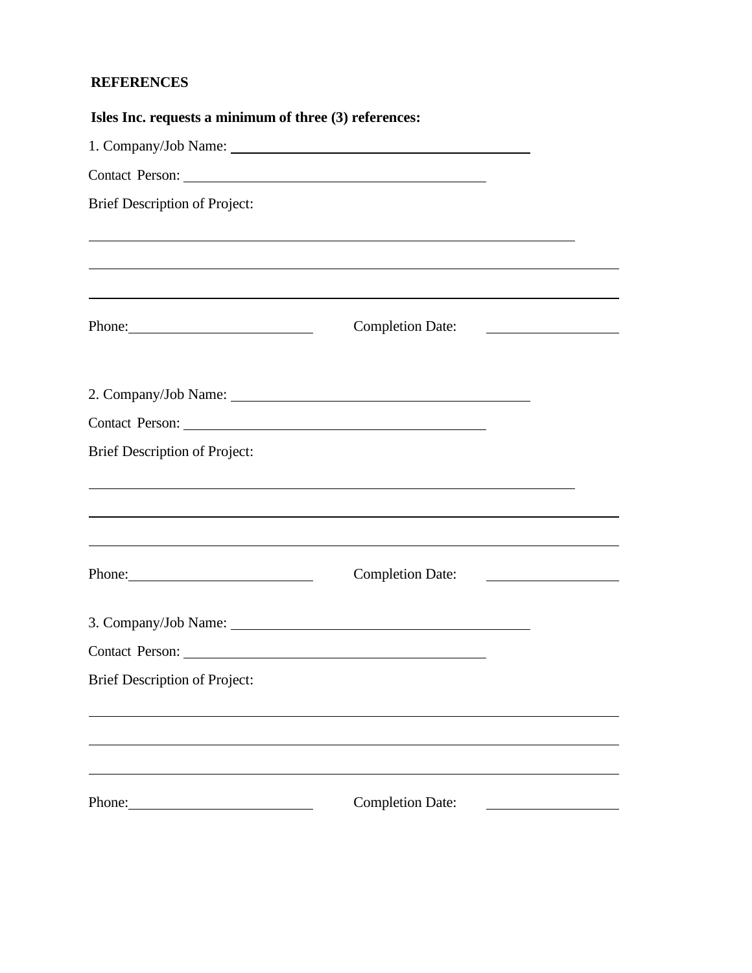## **REFERENCES**

| Isles Inc. requests a minimum of three (3) references:                                                                                                                                                                         |                                                                                                                                                                                                                                      |  |
|--------------------------------------------------------------------------------------------------------------------------------------------------------------------------------------------------------------------------------|--------------------------------------------------------------------------------------------------------------------------------------------------------------------------------------------------------------------------------------|--|
|                                                                                                                                                                                                                                |                                                                                                                                                                                                                                      |  |
|                                                                                                                                                                                                                                |                                                                                                                                                                                                                                      |  |
| <b>Brief Description of Project:</b>                                                                                                                                                                                           |                                                                                                                                                                                                                                      |  |
|                                                                                                                                                                                                                                | ,我们也不会有什么。""我们的人,我们也不会有什么?""我们的人,我们也不会有什么?""我们的人,我们也不会有什么?""我们的人,我们也不会有什么?""我们的人<br>,我们也不能在这里的时候,我们也不能在这里的时候,我们也不能不能不能会不能会不能会不能会不能会不能会不能会不能会不能会。<br>第2012章 我们的时候,我们的时候,我们的时候,我们的时候,我们的时候,我们的时候,我们的时候,我们的时候,我们的时候,我们的时候,我们的时候,我们的时候,我 |  |
| Phone:                                                                                                                                                                                                                         | <b>Completion Date:</b>                                                                                                                                                                                                              |  |
|                                                                                                                                                                                                                                |                                                                                                                                                                                                                                      |  |
| Contact Person: 2008 and 2008 and 2008 and 2008 and 2008 and 2008 and 2008 and 2008 and 2008 and 2008 and 2008 and 2008 and 2008 and 2008 and 2008 and 2008 and 2008 and 2008 and 2008 and 2008 and 2008 and 2008 and 2008 and |                                                                                                                                                                                                                                      |  |
| <b>Brief Description of Project:</b>                                                                                                                                                                                           |                                                                                                                                                                                                                                      |  |
|                                                                                                                                                                                                                                |                                                                                                                                                                                                                                      |  |
| Phone: 2008                                                                                                                                                                                                                    | Completion Date:                                                                                                                                                                                                                     |  |
|                                                                                                                                                                                                                                | 3. Company/Job Name:                                                                                                                                                                                                                 |  |
| Contact Person:                                                                                                                                                                                                                |                                                                                                                                                                                                                                      |  |
| <b>Brief Description of Project:</b>                                                                                                                                                                                           |                                                                                                                                                                                                                                      |  |
|                                                                                                                                                                                                                                |                                                                                                                                                                                                                                      |  |
| Phone:                                                                                                                                                                                                                         | <b>Completion Date:</b>                                                                                                                                                                                                              |  |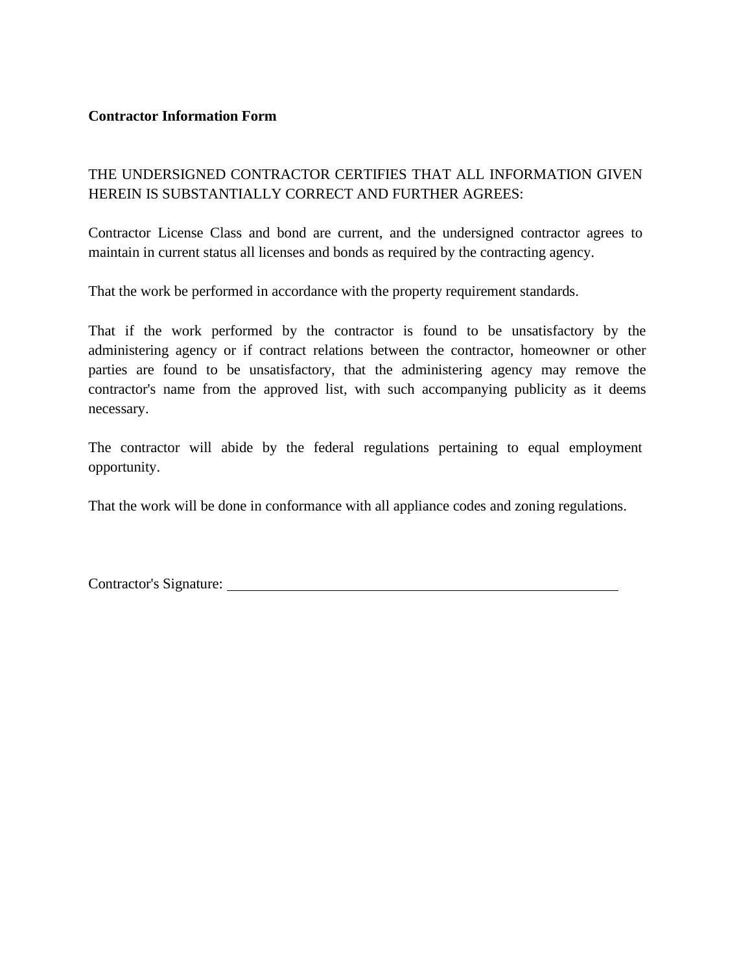#### **Contractor Information Form**

## THE UNDERSIGNED CONTRACTOR CERTIFIES THAT ALL INFORMATION GIVEN HEREIN IS SUBSTANTIALLY CORRECT AND FURTHER AGREES:

Contractor License Class and bond are current, and the undersigned contractor agrees to maintain in current status all licenses and bonds as required by the contracting agency.

That the work be performed in accordance with the property requirement standards.

That if the work performed by the contractor is found to be unsatisfactory by the administering agency or if contract relations between the contractor, homeowner or other parties are found to be unsatisfactory, that the administering agency may remove the contractor's name from the approved list, with such accompanying publicity as it deems necessary.

The contractor will abide by the federal regulations pertaining to equal employment opportunity.

That the work will be done in conformance with all appliance codes and zoning regulations.

| Contractor's Signature: |  |
|-------------------------|--|
|                         |  |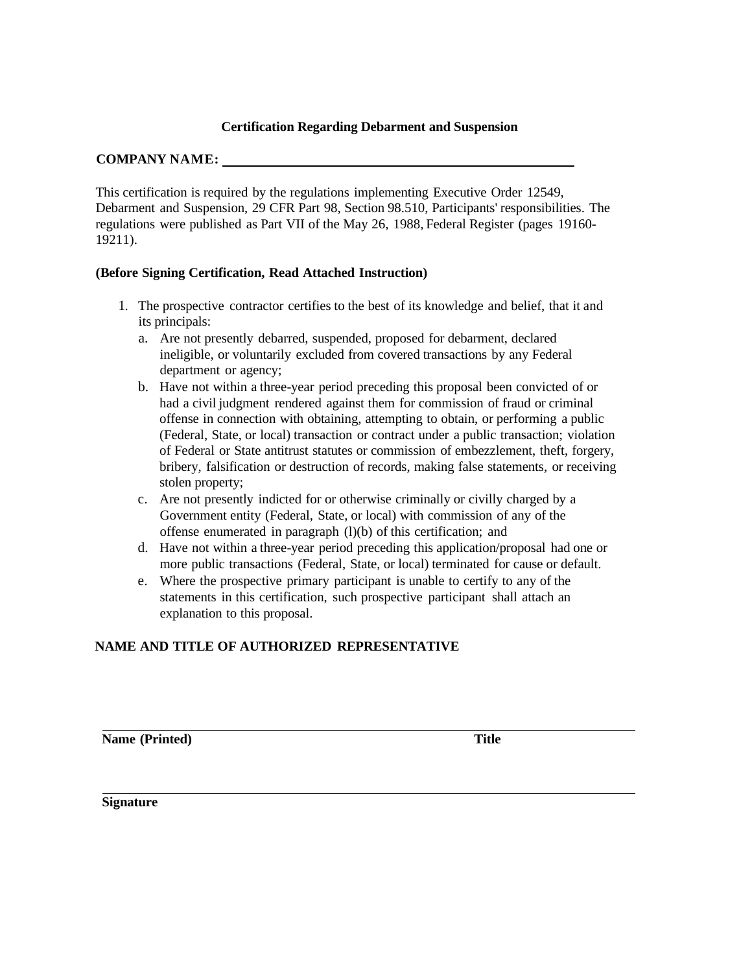#### **Certification Regarding Debarment and Suspension**

#### **COMPANY NAME:**

This certification is required by the regulations implementing Executive Order 12549, Debarment and Suspension, 29 CFR Part 98, Section 98.510, Participants' responsibilities. The regulations were published as Part VII of the May 26, 1988, Federal Register (pages 19160- 19211).

#### **(Before Signing Certification, Read Attached Instruction)**

- 1. The prospective contractor certifies to the best of its knowledge and belief, that it and its principals:
	- a. Are not presently debarred, suspended, proposed for debarment, declared ineligible, or voluntarily excluded from covered transactions by any Federal department or agency;
	- b. Have not within a three-year period preceding this proposal been convicted of or had a civil judgment rendered against them for commission of fraud or criminal offense in connection with obtaining, attempting to obtain, or performing a public (Federal, State, or local) transaction or contract under a public transaction; violation of Federal or State antitrust statutes or commission of embezzlement, theft, forgery, bribery, falsification or destruction of records, making false statements, or receiving stolen property;
	- c. Are not presently indicted for or otherwise criminally or civilly charged by a Government entity (Federal, State, or local) with commission of any of the offense enumerated in paragraph (l)(b) of this certification; and
	- d. Have not within a three-year period preceding this application/proposal had one or more public transactions (Federal, State, or local) terminated for cause or default.
	- e. Where the prospective primary participant is unable to certify to any of the statements in this certification, such prospective participant shall attach an explanation to this proposal.

#### **NAME AND TITLE OF AUTHORIZED REPRESENTATIVE**

**Name (Printed) Title**

**Signature**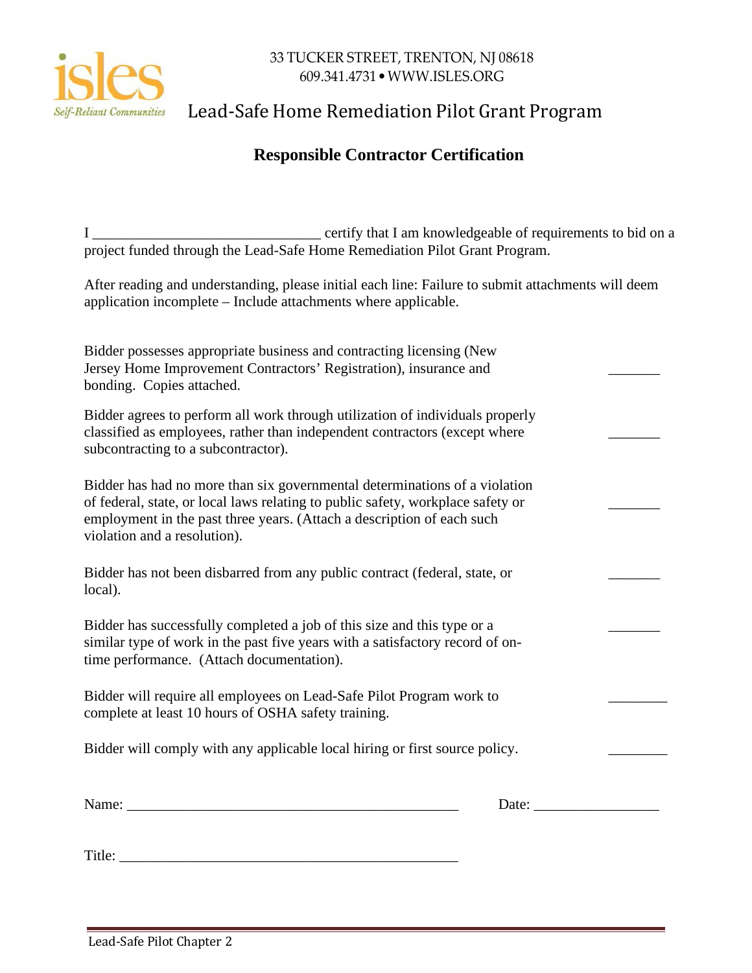

# Self-Reliant Communities Lead-Safe Home Remediation Pilot Grant Program

## **Responsible Contractor Certification**

I \_\_\_\_\_\_\_\_\_\_\_\_\_\_\_\_\_\_\_\_\_\_\_\_\_\_\_\_\_\_\_ certify that I am knowledgeable of requirements to bid on a project funded through the Lead-Safe Home Remediation Pilot Grant Program.

After reading and understanding, please initial each line: Failure to submit attachments will deem application incomplete – Include attachments where applicable.

| Bidder possesses appropriate business and contracting licensing (New<br>Jersey Home Improvement Contractors' Registration), insurance and<br>bonding. Copies attached.                                                                                                  |  |
|-------------------------------------------------------------------------------------------------------------------------------------------------------------------------------------------------------------------------------------------------------------------------|--|
| Bidder agrees to perform all work through utilization of individuals properly<br>classified as employees, rather than independent contractors (except where<br>subcontracting to a subcontractor).                                                                      |  |
| Bidder has had no more than six governmental determinations of a violation<br>of federal, state, or local laws relating to public safety, workplace safety or<br>employment in the past three years. (Attach a description of each such<br>violation and a resolution). |  |
| Bidder has not been disbarred from any public contract (federal, state, or<br>local).                                                                                                                                                                                   |  |
| Bidder has successfully completed a job of this size and this type or a<br>similar type of work in the past five years with a satisfactory record of on-<br>time performance. (Attach documentation).                                                                   |  |
| Bidder will require all employees on Lead-Safe Pilot Program work to<br>complete at least 10 hours of OSHA safety training.                                                                                                                                             |  |
| Bidder will comply with any applicable local hiring or first source policy.                                                                                                                                                                                             |  |
| Name:<br>Date:                                                                                                                                                                                                                                                          |  |

Title: \_\_\_\_\_\_\_\_\_\_\_\_\_\_\_\_\_\_\_\_\_\_\_\_\_\_\_\_\_\_\_\_\_\_\_\_\_\_\_\_\_\_\_\_\_\_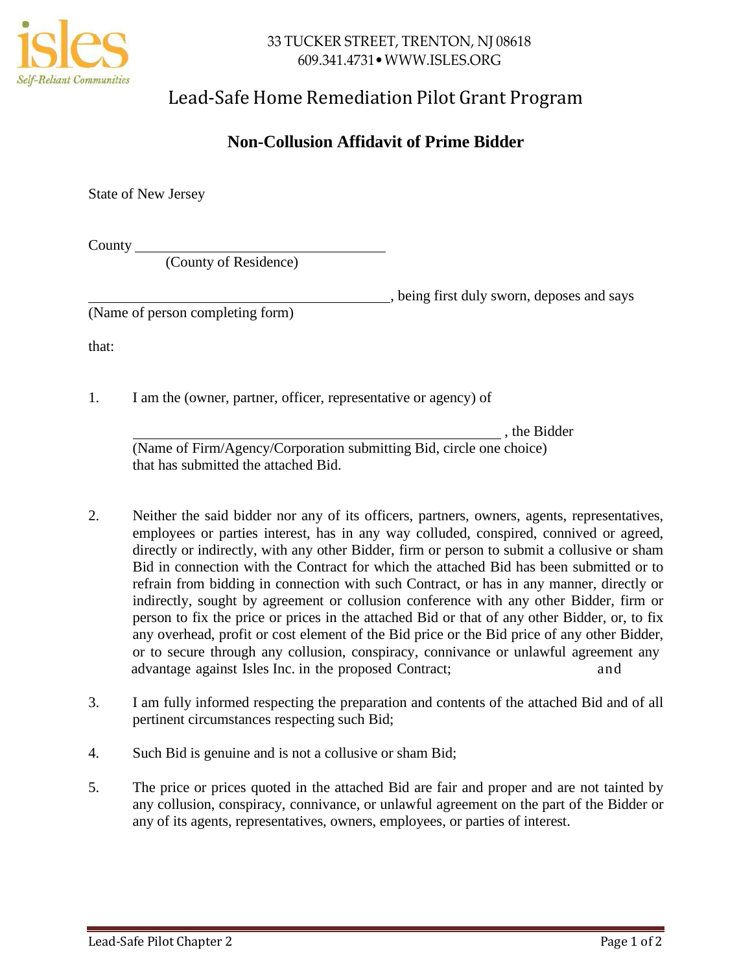

# Lead-Safe Home Remediation Pilot Grant Program

## **Non-Collusion Affidavit of Prime Bidder**

State of New Jersey

County

(County of Residence)

, being first duly sworn, deposes and says

(Name of person completing form)

that:

1. I am the (owner, partner, officer, representative or agency) of

, the Bidder

(Name of Firm/Agency/Corporation submitting Bid, circle one choice) that has submitted the attached Bid.

- 2. Neither the said bidder nor any of its officers, partners, owners, agents, representatives, employees or parties interest, has in any way colluded, conspired, connived or agreed, directly or indirectly, with any other Bidder, firm or person to submit a collusive or sham Bid in connection with the Contract for which the attached Bid has been submitted or to refrain from bidding in connection with such Contract, or has in any manner, directly or indirectly, sought by agreement or collusion conference with any other Bidder, firm or person to fix the price or prices in the attached Bid or that of any other Bidder, or, to fix any overhead, profit or cost element of the Bid price or the Bid price of any other Bidder, or to secure through any collusion, conspiracy, connivance or unlawful agreement any advantage against Isles Inc. in the proposed Contract; and and
- 3. I am fully informed respecting the preparation and contents of the attached Bid and of all pertinent circumstances respecting such Bid;
- 4. Such Bid is genuine and is not a collusive or sham Bid;
- 5. The price or prices quoted in the attached Bid are fair and proper and are not tainted by any collusion, conspiracy, connivance, or unlawful agreement on the part of the Bidder or any of its agents, representatives, owners, employees, or parties of interest.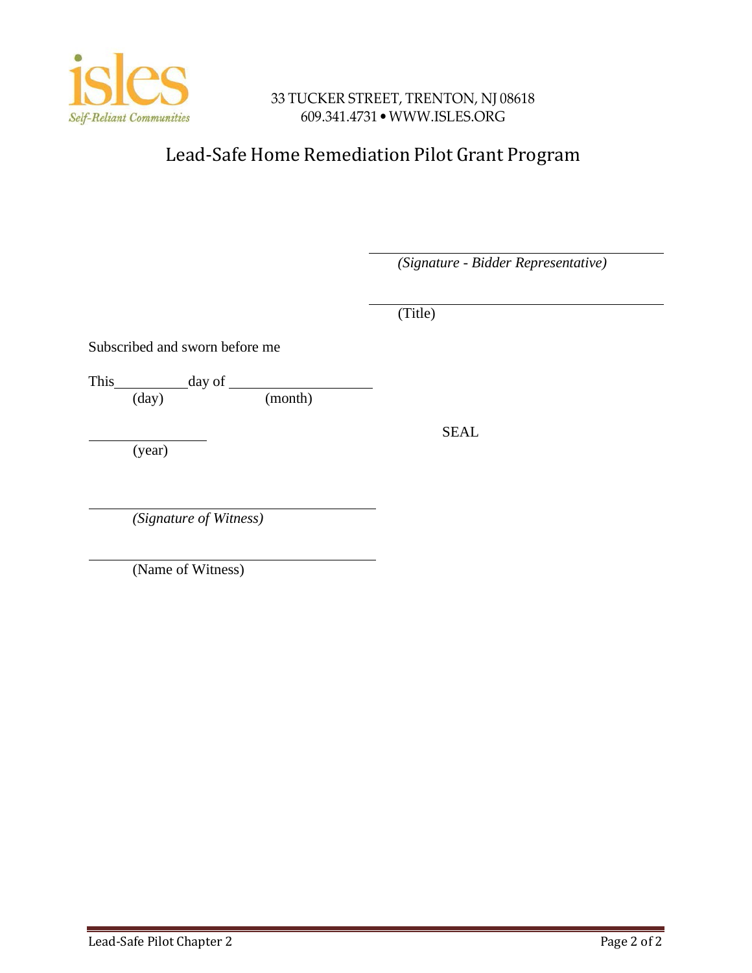

# Lead-Safe Home Remediation Pilot Grant Program

*(Signature - Bidder Representative)*

(Title)

SEAL

Subscribed and sworn before me

This  $\frac{day}{(day)}$ 

 $(month)$ 

(year)

*(Signature of Witness)*

(Name of Witness)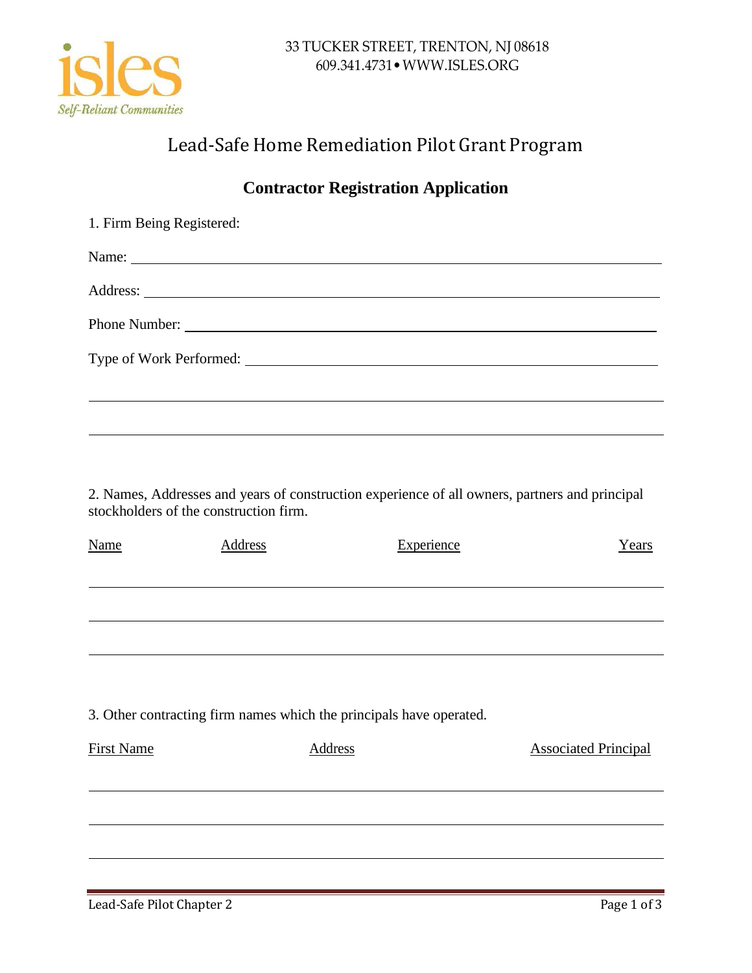

# Lead-Safe Home Remediation Pilot Grant Program

# **Contractor Registration Application**

| 1. Firm Being Registered:           |  |
|-------------------------------------|--|
|                                     |  |
|                                     |  |
|                                     |  |
| Type of Work Performed:<br><u> </u> |  |
|                                     |  |

2. Names, Addresses and years of construction experience of all owners, partners and principal stockholders of the construction firm.

| <b>Name</b>       | <b>Address</b> | Experience                                                          | Years                       |
|-------------------|----------------|---------------------------------------------------------------------|-----------------------------|
|                   |                |                                                                     |                             |
|                   |                |                                                                     |                             |
|                   |                |                                                                     |                             |
|                   |                |                                                                     |                             |
|                   |                |                                                                     |                             |
|                   |                | 3. Other contracting firm names which the principals have operated. |                             |
| <b>First Name</b> |                | <b>Address</b>                                                      | <b>Associated Principal</b> |
|                   |                |                                                                     |                             |
|                   |                |                                                                     |                             |
|                   |                |                                                                     |                             |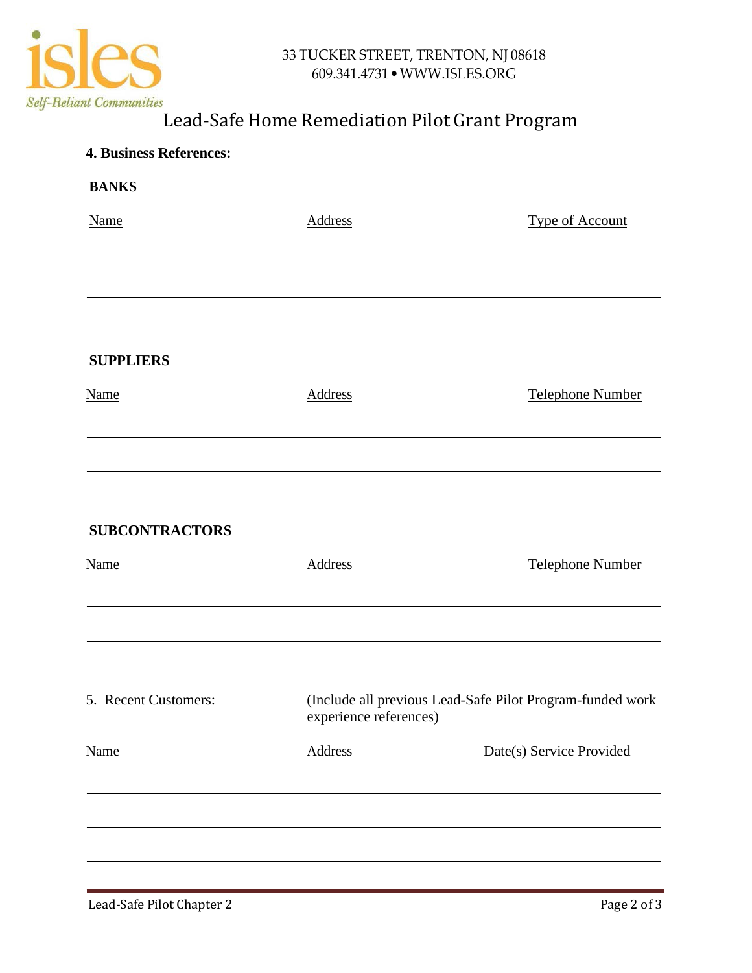

# Lead-Safe Home Remediation Pilot Grant Program

| <b>4. Business References:</b> |                        |                                                           |
|--------------------------------|------------------------|-----------------------------------------------------------|
| <b>BANKS</b>                   |                        |                                                           |
| <b>Name</b>                    | <b>Address</b>         | <b>Type of Account</b>                                    |
|                                |                        |                                                           |
| <b>SUPPLIERS</b>               |                        |                                                           |
| <b>Name</b>                    | <b>Address</b>         | <b>Telephone Number</b>                                   |
|                                |                        |                                                           |
| <b>SUBCONTRACTORS</b>          |                        |                                                           |
| <b>Name</b>                    | Address                | <b>Telephone Number</b>                                   |
|                                |                        |                                                           |
| 5. Recent Customers:           | experience references) | (Include all previous Lead-Safe Pilot Program-funded work |
| <b>Name</b>                    | <b>Address</b>         | Date(s) Service Provided                                  |
|                                |                        |                                                           |
|                                |                        |                                                           |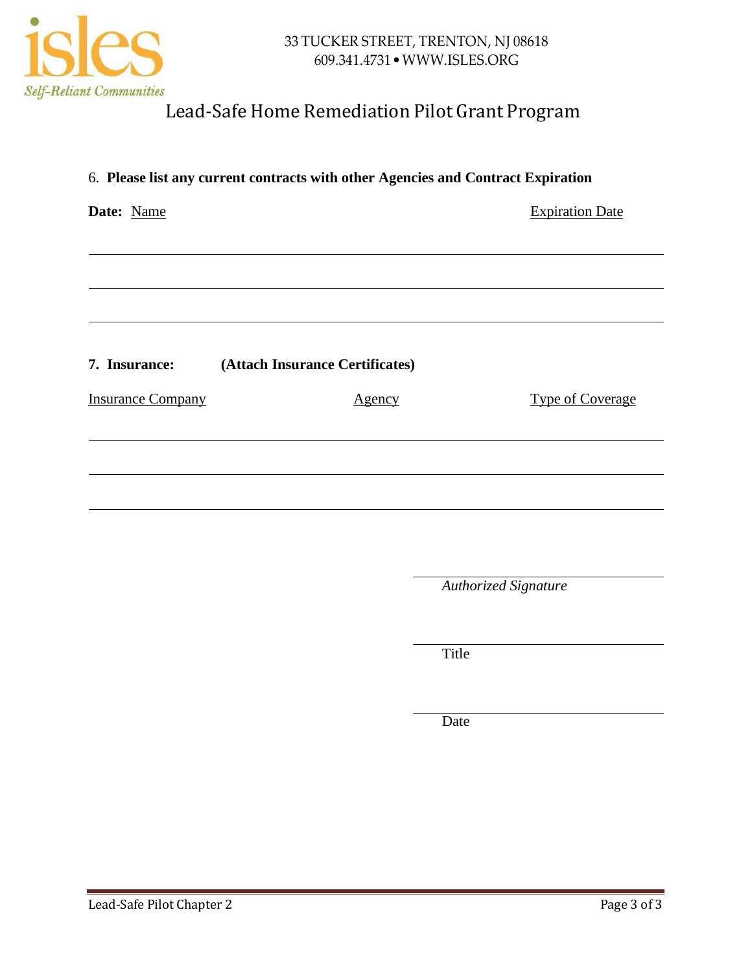

# Lead-Safe Home Remediation Pilot Grant Program

| 6. Please list any current contracts with other Agencies and Contract Expiration |                                 |                         |
|----------------------------------------------------------------------------------|---------------------------------|-------------------------|
| Date: Name                                                                       |                                 | <b>Expiration Date</b>  |
|                                                                                  |                                 |                         |
|                                                                                  |                                 |                         |
|                                                                                  |                                 |                         |
| 7. Insurance:                                                                    | (Attach Insurance Certificates) |                         |
| <b>Insurance Company</b>                                                         | <u>Agency</u>                   | <b>Type of Coverage</b> |
|                                                                                  |                                 |                         |
|                                                                                  |                                 |                         |
|                                                                                  |                                 |                         |
|                                                                                  |                                 |                         |

*Authorized Signature*

Title

Date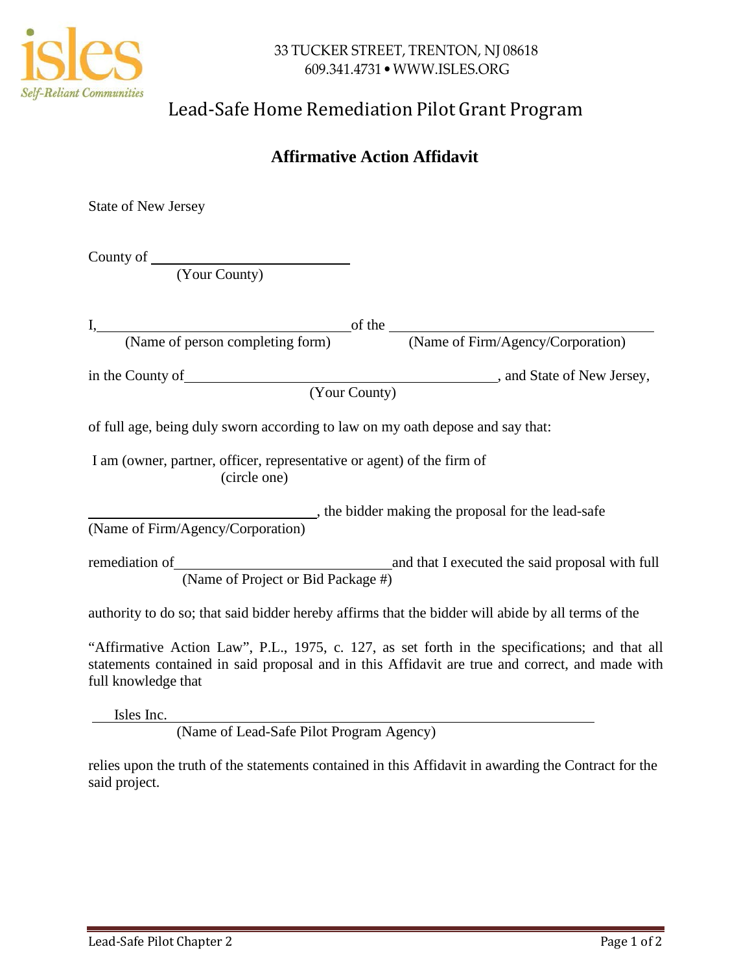

# Lead-Safe Home Remediation Pilot Grant Program

## **Affirmative Action Affidavit**

State of New Jersey

County of

(Your County)

| of full age, being duly sworn according to law on my oath depose and say that:                                                                                                                                                                                                                                                             |                                                                                                                                                                                                   |
|--------------------------------------------------------------------------------------------------------------------------------------------------------------------------------------------------------------------------------------------------------------------------------------------------------------------------------------------|---------------------------------------------------------------------------------------------------------------------------------------------------------------------------------------------------|
| I am (owner, partner, officer, representative or agent) of the firm of<br>(circle one)                                                                                                                                                                                                                                                     |                                                                                                                                                                                                   |
| (Name of Firm/Agency/Corporation)                                                                                                                                                                                                                                                                                                          | the bidder making the proposal for the lead-safe                                                                                                                                                  |
| (Name of Project or Bid Package #)                                                                                                                                                                                                                                                                                                         |                                                                                                                                                                                                   |
| authority to do so; that said bidder hereby affirms that the bidder will abide by all terms of the                                                                                                                                                                                                                                         |                                                                                                                                                                                                   |
| full knowledge that                                                                                                                                                                                                                                                                                                                        | "Affirmative Action Law", P.L., 1975, c. 127, as set forth in the specifications; and that all<br>statements contained in said proposal and in this Affidavit are true and correct, and made with |
| Isles Inc.                                                                                                                                                                                                                                                                                                                                 |                                                                                                                                                                                                   |
| $\mathbf{C}$ $\mathbf{I}$ $\mathbf{C}$ $\mathbf{D}$ $\mathbf{I}$ $\mathbf{D}$ $\mathbf{I}$ $\mathbf{D}$ $\mathbf{I}$ $\mathbf{I}$ $\mathbf{I}$ $\mathbf{I}$ $\mathbf{I}$ $\mathbf{I}$ $\mathbf{I}$ $\mathbf{I}$ $\mathbf{I}$ $\mathbf{I}$ $\mathbf{I}$ $\mathbf{I}$ $\mathbf{I}$ $\mathbf{I}$ $\mathbf{I}$ $\mathbf{I}$ $\mathbf{$<br>(TT) |                                                                                                                                                                                                   |

(Name of Lead-Safe Pilot Program Agency)

relies upon the truth of the statements contained in this Affidavit in awarding the Contract for the said project.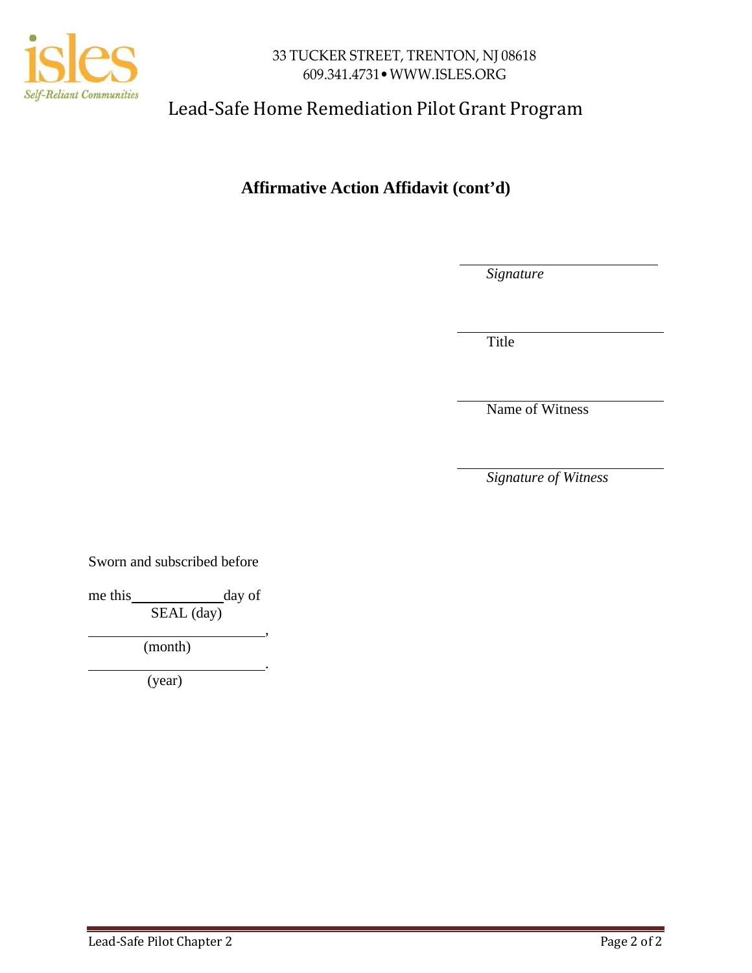

# Lead-Safe Home Remediation Pilot Grant Program

# **Affirmative Action Affidavit (cont'd)**

*Signature*

Title

Name of Witness

*Signature of Witness*

Sworn and subscribed before

me this day of SEAL (day)

,

.

(month)

(year)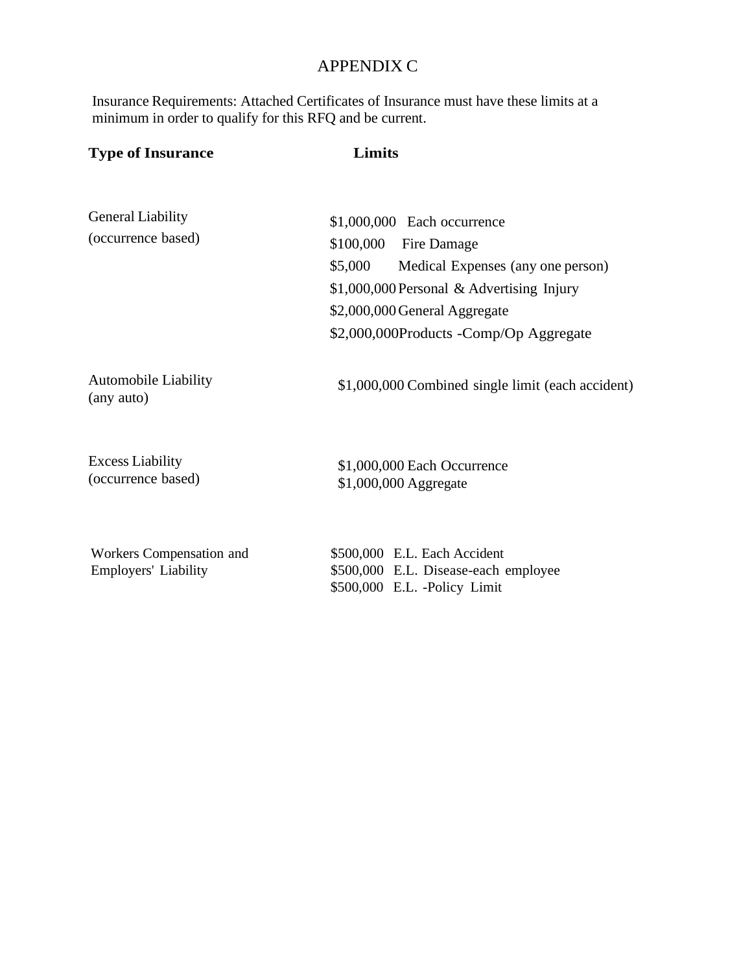## APPENDIX C

Insurance Requirements: Attached Certificates of Insurance must have these limits at a minimum in order to qualify for this RFQ and be current.

| <b>Type of Insurance</b>                         | Limits                                                                                                                                                                                                                          |
|--------------------------------------------------|---------------------------------------------------------------------------------------------------------------------------------------------------------------------------------------------------------------------------------|
| <b>General Liability</b><br>(occurrence based)   | \$1,000,000 Each occurrence<br>\$100,000<br>Fire Damage<br>\$5,000<br>Medical Expenses (any one person)<br>\$1,000,000 Personal & Advertising Injury<br>\$2,000,000 General Aggregate<br>\$2,000,000Products -Comp/Op Aggregate |
| <b>Automobile Liability</b><br>(any auto)        | \$1,000,000 Combined single limit (each accident)                                                                                                                                                                               |
| <b>Excess Liability</b><br>(occurrence based)    | \$1,000,000 Each Occurrence<br>\$1,000,000 Aggregate                                                                                                                                                                            |
| Workers Compensation and<br>Employers' Liability | \$500,000 E.L. Each Accident<br>\$500,000 E.L. Disease-each employee<br>\$500,000 E.L. -Policy Limit                                                                                                                            |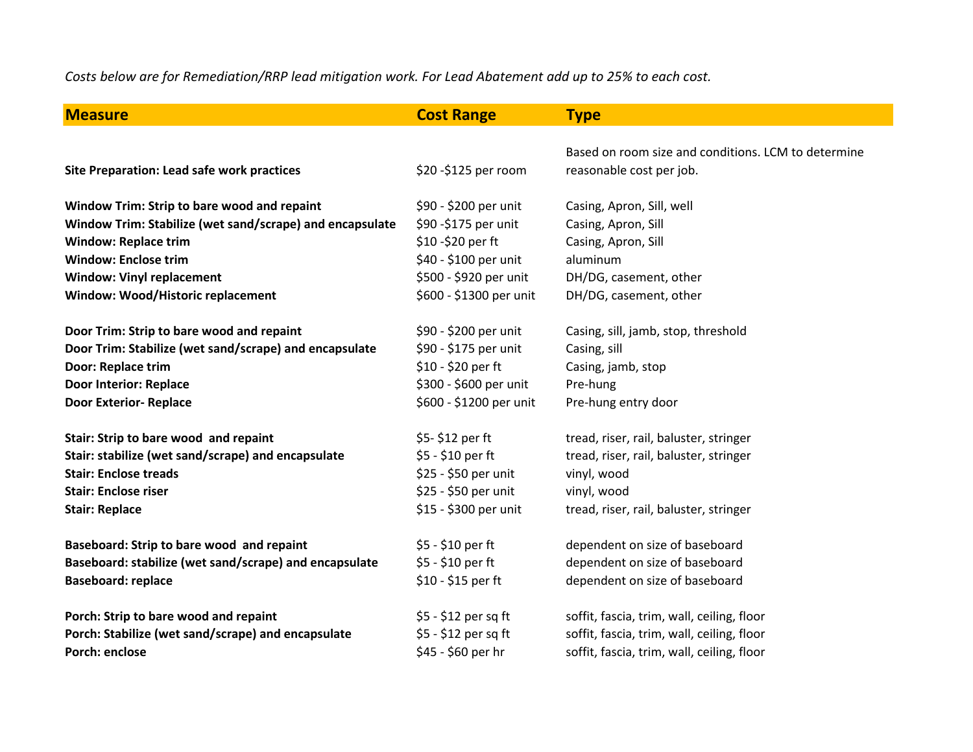*Costs below are for Remediation/RRP lead mitigation work. For Lead Abatement add up to 25% to each cost.*

| <b>Measure</b>                                           | <b>Cost Range</b>       | <b>Type</b>                                         |
|----------------------------------------------------------|-------------------------|-----------------------------------------------------|
|                                                          |                         |                                                     |
|                                                          |                         | Based on room size and conditions. LCM to determine |
| <b>Site Preparation: Lead safe work practices</b>        | \$20 - \$125 per room   | reasonable cost per job.                            |
| Window Trim: Strip to bare wood and repaint              | \$90 - \$200 per unit   | Casing, Apron, Sill, well                           |
| Window Trim: Stabilize (wet sand/scrape) and encapsulate | \$90 - \$175 per unit   | Casing, Apron, Sill                                 |
| <b>Window: Replace trim</b>                              | \$10 - \$20 per ft      | Casing, Apron, Sill                                 |
| <b>Window: Enclose trim</b>                              | \$40 - \$100 per unit   | aluminum                                            |
| <b>Window: Vinyl replacement</b>                         | \$500 - \$920 per unit  | DH/DG, casement, other                              |
| Window: Wood/Historic replacement                        | \$600 - \$1300 per unit | DH/DG, casement, other                              |
|                                                          |                         |                                                     |
| Door Trim: Strip to bare wood and repaint                | \$90 - \$200 per unit   | Casing, sill, jamb, stop, threshold                 |
| Door Trim: Stabilize (wet sand/scrape) and encapsulate   | \$90 - \$175 per unit   | Casing, sill                                        |
| <b>Door: Replace trim</b>                                | \$10 - \$20 per ft      | Casing, jamb, stop                                  |
| <b>Door Interior: Replace</b>                            | \$300 - \$600 per unit  | Pre-hung                                            |
| <b>Door Exterior- Replace</b>                            | \$600 - \$1200 per unit | Pre-hung entry door                                 |
| Stair: Strip to bare wood and repaint                    | \$5-\$12 per ft         | tread, riser, rail, baluster, stringer              |
| Stair: stabilize (wet sand/scrape) and encapsulate       | \$5 - \$10 per ft       | tread, riser, rail, baluster, stringer              |
| <b>Stair: Enclose treads</b>                             | \$25 - \$50 per unit    | vinyl, wood                                         |
| <b>Stair: Enclose riser</b>                              | \$25 - \$50 per unit    | vinyl, wood                                         |
| <b>Stair: Replace</b>                                    | \$15 - \$300 per unit   | tread, riser, rail, baluster, stringer              |
|                                                          |                         |                                                     |
| Baseboard: Strip to bare wood and repaint                | \$5 - \$10 per ft       | dependent on size of baseboard                      |
| Baseboard: stabilize (wet sand/scrape) and encapsulate   | \$5 - \$10 per ft       | dependent on size of baseboard                      |
| <b>Baseboard: replace</b>                                | \$10 - \$15 per ft      | dependent on size of baseboard                      |
| Porch: Strip to bare wood and repaint                    | \$5 - \$12 per sq ft    | soffit, fascia, trim, wall, ceiling, floor          |
| Porch: Stabilize (wet sand/scrape) and encapsulate       | \$5 - \$12 per sq ft    | soffit, fascia, trim, wall, ceiling, floor          |
| <b>Porch: enclose</b>                                    | \$45 - \$60 per hr      | soffit, fascia, trim, wall, ceiling, floor          |